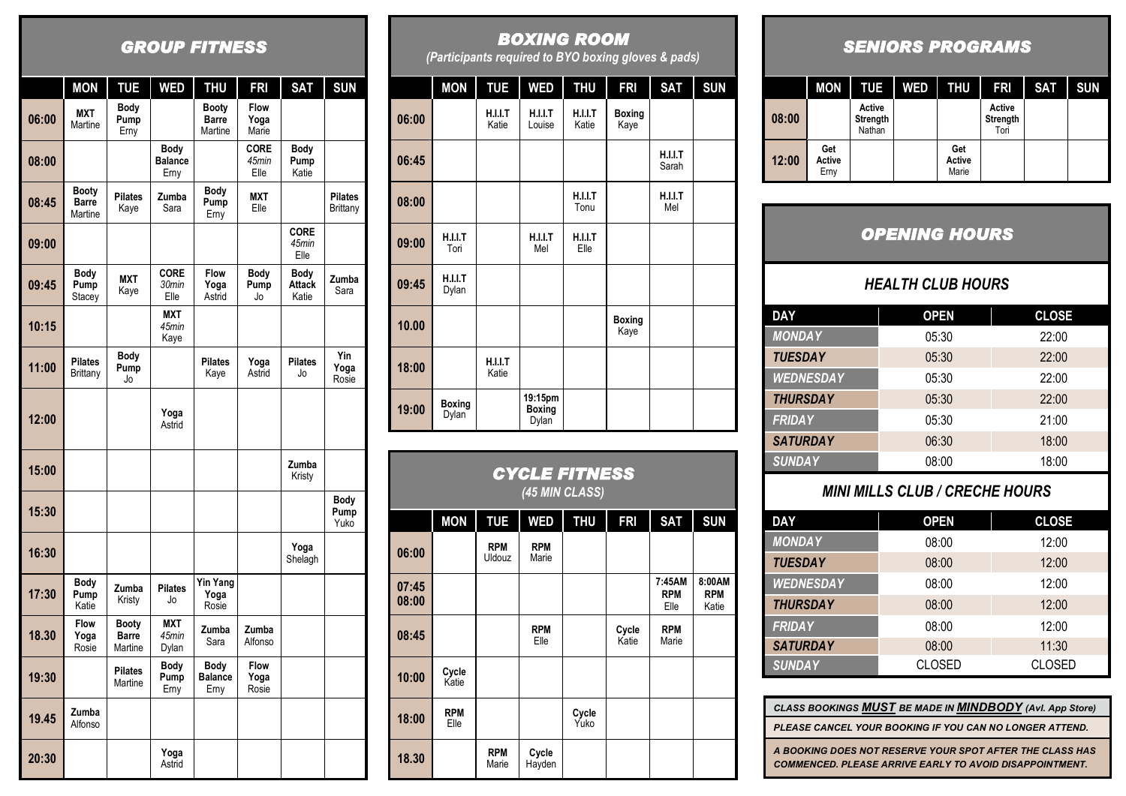# *GROUP FITNESS*

|       | <b>MON</b>                              | <b>TUE</b>                              | <b>WED</b>                     | <b>THU</b>                       | <b>FRI</b>                   | <b>SAT</b>                     | <b>SUN</b>                  |
|-------|-----------------------------------------|-----------------------------------------|--------------------------------|----------------------------------|------------------------------|--------------------------------|-----------------------------|
| 06:00 | <b>MXT</b><br>Martine                   | Body<br>Pump<br>Erny                    |                                | Booty<br><b>Barre</b><br>Martine | <b>Flow</b><br>Yoga<br>Marie |                                |                             |
| 08:00 |                                         |                                         | Body<br><b>Balance</b><br>Erny |                                  | <b>CORE</b><br>45min<br>Elle | Body<br>Pump<br>Katie          |                             |
| 08:45 | <b>Booty</b><br><b>Barre</b><br>Martine | <b>Pilates</b><br>Kaye                  | Zumba<br>Sara                  | <b>Body</b><br>Pump<br>Erny      | <b>MXT</b><br>Elle           |                                | <b>Pilates</b><br>Brittany  |
| 09:00 |                                         |                                         |                                |                                  |                              | <b>CORE</b><br>45min<br>Elle   |                             |
| 09:45 | Body<br>Pump<br>Stacey                  | <b>MXT</b><br>Kaye                      | <b>CORE</b><br>30min<br>Elle   | <b>Flow</b><br>Yoga<br>Astrid    | Body<br>Pump<br>Jo           | Body<br><b>Attack</b><br>Katie | Zumba<br>Sara               |
| 10:15 |                                         |                                         | <b>MXT</b><br>45min<br>Kaye    |                                  |                              |                                |                             |
| 11:00 | <b>Pilates</b><br>Brittany              | Body<br>Pump<br>Jo                      |                                | <b>Pilates</b><br>Kaye           | Yoga<br>Astrid               | <b>Pilates</b><br>Jo           | Yin<br>Yoga<br>Rosie        |
| 12:00 |                                         |                                         | Yoga<br>Astrid                 |                                  |                              |                                |                             |
| 15:00 |                                         |                                         |                                |                                  |                              | Zumba<br>Kristy                |                             |
| 15:30 |                                         |                                         |                                |                                  |                              |                                | <b>Body</b><br>Pump<br>Yuko |
| 16:30 |                                         |                                         |                                |                                  |                              | Yoga<br>Shelagh                |                             |
| 17:30 | Body<br>Pump<br>Katie                   | Zumba<br>Kristy                         | <b>Pilates</b><br>Jo           | <b>Yin Yang</b><br>Yoga<br>Rosie |                              |                                |                             |
| 18.30 | <b>Flow</b><br>Yoga<br>Rosie            | <b>Booty</b><br><b>Barre</b><br>Martine | <b>MXT</b><br>45min<br>Dylan   | Zumba<br>Sara                    | Zumba<br>Alfonso             |                                |                             |
| 19:30 |                                         | <b>Pilates</b><br>Martine               | <b>Body</b><br>Pump<br>Erny    | Body<br><b>Balance</b><br>Erny   | <b>Flow</b><br>Yoga<br>Rosie |                                |                             |
| 19.45 | Zumba<br>Alfonso                        |                                         |                                |                                  |                              |                                |                             |
| 20:30 |                                         |                                         | Yoga<br>Astrid                 |                                  |                              |                                |                             |

# *BOXING ROOM*

*(Participants required to BYO boxing gloves & pads)*

|       | <b>MON</b>              | <b>TUE</b>       | <b>WED</b>                               | <b>THU</b>              | <b>FRI</b>            | <b>SAT</b>       | <b>SUN</b> |
|-------|-------------------------|------------------|------------------------------------------|-------------------------|-----------------------|------------------|------------|
| 06:00 |                         | H.I.I.T<br>Katie | H.I.I.T<br>Louise                        | <b>H.I.I.T</b><br>Katie | <b>Boxing</b><br>Kaye |                  |            |
| 06:45 |                         |                  |                                          |                         |                       | H.I.I.T<br>Sarah |            |
| 08:00 |                         |                  |                                          | H.I.I.T<br>Tonu         |                       | H.I.I.T<br>Mel   |            |
| 09:00 | H.I.I.T<br>Tori         |                  | H.I.I.T<br>Mel                           | <b>H.I.I.T</b><br>Elle  |                       |                  |            |
| 09:45 | <b>H.I.I.T</b><br>Dylan |                  |                                          |                         |                       |                  |            |
| 10.00 |                         |                  |                                          |                         | <b>Boxing</b><br>Kaye |                  |            |
| 18:00 |                         | H.I.I.T<br>Katie |                                          |                         |                       |                  |            |
| 19:00 | <b>Boxing</b><br>Dylan  |                  | 19:15pm<br><b>Boxing</b><br><b>Dylan</b> |                         |                       |                  |            |

| CYCLE FITNESS<br>(45 MIN CLASS) |                    |                      |                     |               |                |                              |                               |  |
|---------------------------------|--------------------|----------------------|---------------------|---------------|----------------|------------------------------|-------------------------------|--|
|                                 | <b>MON</b>         | <b>TUE</b>           | <b>WED</b>          | <b>THU</b>    | <b>FRI</b>     | <b>SAT</b>                   | <b>SUN</b>                    |  |
| 06:00                           |                    | <b>RPM</b><br>Uldouz | <b>RPM</b><br>Marie |               |                |                              |                               |  |
| 07:45<br>08:00                  |                    |                      |                     |               |                | 7:45AM<br><b>RPM</b><br>Elle | 8:00AM<br><b>RPM</b><br>Katie |  |
| 08:45                           |                    |                      | <b>RPM</b><br>Elle  |               | Cycle<br>Katie | <b>RPM</b><br>Marie          |                               |  |
| 10:00                           | Cycle<br>Katie     |                      |                     |               |                |                              |                               |  |
| 18:00                           | <b>RPM</b><br>Elle |                      |                     | Cycle<br>Yuko |                |                              |                               |  |
| 18.30                           |                    | <b>RPM</b><br>Marie  | Cycle<br>Hayden     |               |                |                              |                               |  |

#### *SENIORS PROGRAMS*

|            | <b>MON</b>            | <b>TUE</b>                   | <b>WED</b> | <b>THU</b>             | <b>FRI</b>                 | SAT | <b>SUN</b> |
|------------|-----------------------|------------------------------|------------|------------------------|----------------------------|-----|------------|
| I<br>08:00 |                       | Active<br>Strength<br>Nathan |            |                        | Active<br>Strength<br>Tori |     |            |
| 12:00      | Get<br>Active<br>Erny |                              |            | Get<br>Active<br>Marie |                            |     |            |

# *OPENING HOURS*

#### *HEALTH CLUB HOURS*

| <b>DAY</b>       | <b>OPEN</b> | <b>CLOSE</b> |
|------------------|-------------|--------------|
| <b>MONDAY</b>    | 05:30       | 22:00        |
| <b>TUESDAY</b>   | 05:30       | 22:00        |
| <b>WEDNESDAY</b> | 05:30       | 22:00        |
| <b>THURSDAY</b>  | 05:30       | 22:00        |
| <b>FRIDAY</b>    | 05:30       | 21:00        |
| <b>SATURDAY</b>  | 06:30       | 18:00        |
| <b>SUNDAY</b>    | 08:00       | 18:00        |

### *MINI MILLS CLUB / CRECHE HOURS*

| <b>DAY</b>       | <b>OPEN</b>   | <b>CLOSE</b>  |
|------------------|---------------|---------------|
| <b>MONDAY</b>    | 08:00         | 12:00         |
| <b>TUESDAY</b>   | 08:00         | 12:00         |
| <b>WEDNESDAY</b> | 08:00         | 12:00         |
| <b>THURSDAY</b>  | 08:00         | 12:00         |
| <b>FRIDAY</b>    | 08:00         | 12:00         |
| <b>SATURDAY</b>  | 08:00         | 11:30         |
| <b>SUNDAY</b>    | <b>CLOSED</b> | <b>CLOSED</b> |

| CLASS BOOKINGS <b>MUST</b> BE MADE IN <b>MINDBODY</b> (Avl. App Store)                                           |
|------------------------------------------------------------------------------------------------------------------|
| PLEASE CANCEL YOUR BOOKING IF YOU CAN NO LONGER ATTEND.                                                          |
| A BOOKING DOES NOT RESERVE YOUR SPOT AFTER THE CLASS HAS COMMENCED. PLEASE ARRIVE EARLY TO AVOID DISAPPOINTMENT. |